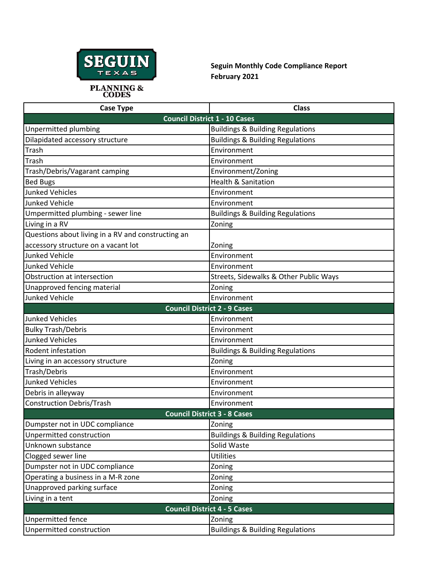

## **Seguin Monthly Code Compliance Report February 2021**

| <b>Case Type</b>                                   | <b>Class</b>                                |
|----------------------------------------------------|---------------------------------------------|
| <b>Council District 1 - 10 Cases</b>               |                                             |
| Unpermitted plumbing                               | <b>Buildings &amp; Building Regulations</b> |
| Dilapidated accessory structure                    | <b>Buildings &amp; Building Regulations</b> |
| Trash                                              | Environment                                 |
| Trash                                              | Environment                                 |
| Trash/Debris/Vagarant camping                      | Environment/Zoning                          |
| <b>Bed Bugs</b>                                    | <b>Health &amp; Sanitation</b>              |
| <b>Junked Vehicles</b>                             | Environment                                 |
| <b>Junked Vehicle</b>                              | Environment                                 |
| Umpermitted plumbing - sewer line                  | <b>Buildings &amp; Building Regulations</b> |
| Living in a RV                                     | Zoning                                      |
| Questions about living in a RV and constructing an |                                             |
| accessory structure on a vacant lot                | Zoning                                      |
| <b>Junked Vehicle</b>                              | Environment                                 |
| <b>Junked Vehicle</b>                              | Environment                                 |
| Obstruction at intersection                        | Streets, Sidewalks & Other Public Ways      |
| Unapproved fencing material                        | Zoning                                      |
| <b>Junked Vehicle</b>                              | Environment                                 |
| <b>Council District 2 - 9 Cases</b>                |                                             |
| <b>Junked Vehicles</b>                             | Environment                                 |
| <b>Bulky Trash/Debris</b>                          | Environment                                 |
| <b>Junked Vehicles</b>                             | Environment                                 |
| Rodent infestation                                 | <b>Buildings &amp; Building Regulations</b> |
| Living in an accessory structure                   | Zoning                                      |
| Trash/Debris                                       | Environment                                 |
| <b>Junked Vehicles</b>                             | Environment                                 |
| Debris in alleyway                                 | Environment                                 |
| <b>Construction Debris/Trash</b>                   | Environment                                 |
| <b>Council District 3 - 8 Cases</b>                |                                             |
| Dumpster not in UDC compliance                     | Zoning                                      |
| Unpermitted construction                           | <b>Buildings &amp; Building Regulations</b> |
| Unknown substance                                  | Solid Waste                                 |
| Clogged sewer line                                 | <b>Utilities</b>                            |
| Dumpster not in UDC compliance                     | Zoning                                      |
| Operating a business in a M-R zone                 | Zoning                                      |
| Unapproved parking surface                         | Zoning                                      |
| Living in a tent                                   | Zoning                                      |
| <b>Council District 4 - 5 Cases</b>                |                                             |
| Unpermitted fence                                  | Zoning                                      |
| Unpermitted construction                           | <b>Buildings &amp; Building Regulations</b> |